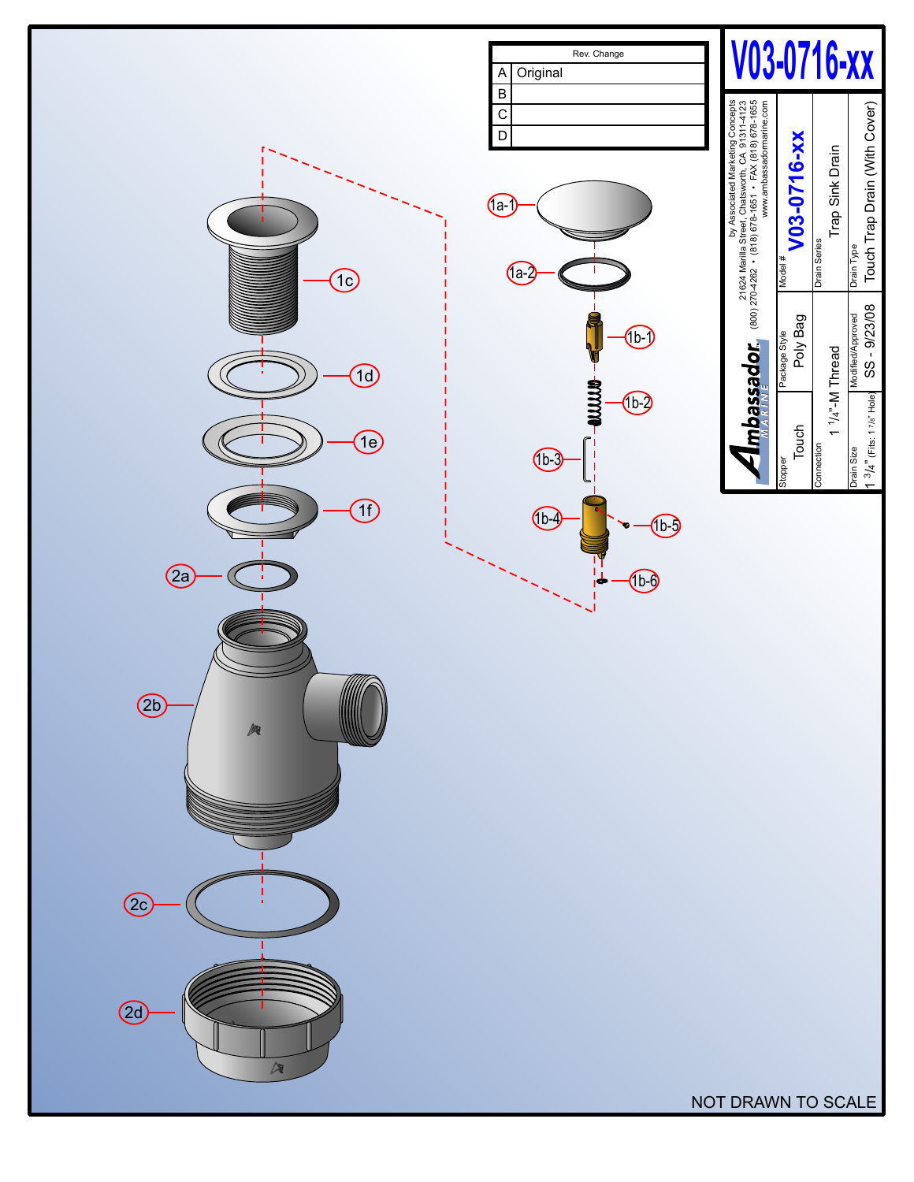